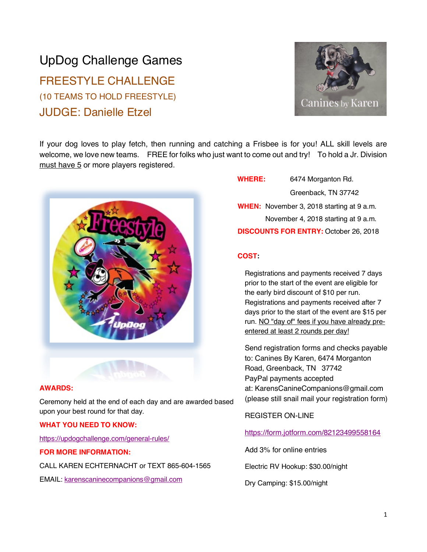# UpDog Challenge Games FREESTYLE CHALLENGE (10 TEAMS TO HOLD FREESTYLE) JUDGE: Danielle Etzel



If your dog loves to play fetch, then running and catching a Frisbee is for you! ALL skill levels are welcome, we love new teams. FREE for folks who just want to come out and try! To hold a Jr. Division must have 5 or more players registered.



# **AWARDS:**

Ceremony held at the end of each day and are awarded based upon your best round for that day.

#### **WHAT YOU NEED TO KNOW:**

https://updogchallenge.com/general-rules/

#### **FOR MORE INFORMATION:**

CALL KAREN ECHTERNACHT or TEXT 865-604-1565

EMAIL: karenscaninecompanions@gmail.com

# **WHERE:** 6474 Morganton Rd.

Greenback, TN 37742

**WHEN:** November 3, 2018 starting at 9 a.m. November 4, 2018 starting at 9 a.m. **DISCOUNTS FOR ENTRY:** October 26, 2018

#### **COST:**

Registrations and payments received 7 days prior to the start of the event are eligible for the early bird discount of \$10 per run. Registrations and payments received after 7 days prior to the start of the event are \$15 per run. NO "day of" fees if you have already preentered at least 2 rounds per day!

Send registration forms and checks payable to: Canines By Karen, 6474 Morganton Road, Greenback, TN 37742 PayPal payments accepted at: KarensCanineCompanions@gmail.com (please still snail mail your registration form)

#### REGISTER ON-LINE

## https://form.jotform.com/82123499558164

Add 3% for online entries

Electric RV Hookup: \$30.00/night

Dry Camping: \$15.00/night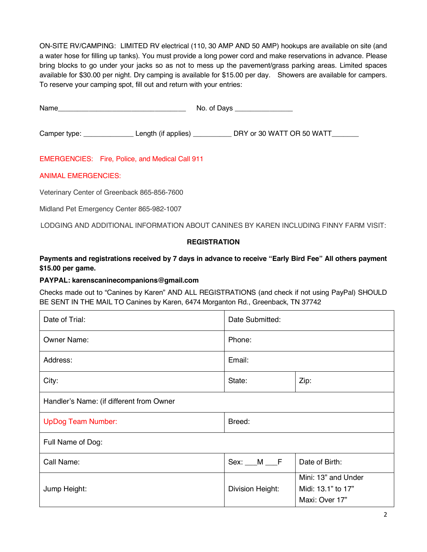ON-SITE RV/CAMPING: LIMITED RV electrical (110, 30 AMP AND 50 AMP) hookups are available on site (and a water hose for filling up tanks). You must provide a long power cord and make reservations in advance. Please bring blocks to go under your jacks so as not to mess up the pavement/grass parking areas. Limited spaces available for \$30.00 per night. Dry camping is available for \$15.00 per day. Showers are available for campers. To reserve your camping spot, fill out and return with your entries:

| Name         |                     | No. of Days |                           |
|--------------|---------------------|-------------|---------------------------|
| Camper type: | Length (if applies) |             | DRY or 30 WATT OR 50 WATT |

EMERGENCIES: Fire, Police, and Medical Call 911

## ANIMAL EMERGENCIES:

Veterinary Center of Greenback 865-856-7600

Midland Pet Emergency Center 865-982-1007

LODGING AND ADDITIONAL INFORMATION ABOUT CANINES BY KAREN INCLUDING FINNY FARM VISIT:

## **REGISTRATION**

**Payments and registrations received by 7 days in advance to receive "Early Bird Fee" All others payment \$15.00 per game.**

#### **PAYPAL: karenscaninecompanions@gmail.com**

Checks made out to "Canines by Karen" AND ALL REGISTRATIONS (and check if not using PayPal) SHOULD BE SENT IN THE MAIL TO Canines by Karen, 6474 Morganton Rd., Greenback, TN 37742

| Date of Trial:                           | Date Submitted:    |                                                             |  |  |
|------------------------------------------|--------------------|-------------------------------------------------------------|--|--|
| <b>Owner Name:</b>                       | Phone:             |                                                             |  |  |
| Address:                                 | Email:             |                                                             |  |  |
| City:                                    | State:             | Zip:                                                        |  |  |
| Handler's Name: (if different from Owner |                    |                                                             |  |  |
| <b>UpDog Team Number:</b>                | Breed:             |                                                             |  |  |
| Full Name of Dog:                        |                    |                                                             |  |  |
| Call Name:                               | $Sex: \_\_M \_\_F$ | Date of Birth:                                              |  |  |
| Jump Height:                             | Division Height:   | Mini: 13" and Under<br>Midi: 13.1" to 17"<br>Maxi: Over 17" |  |  |